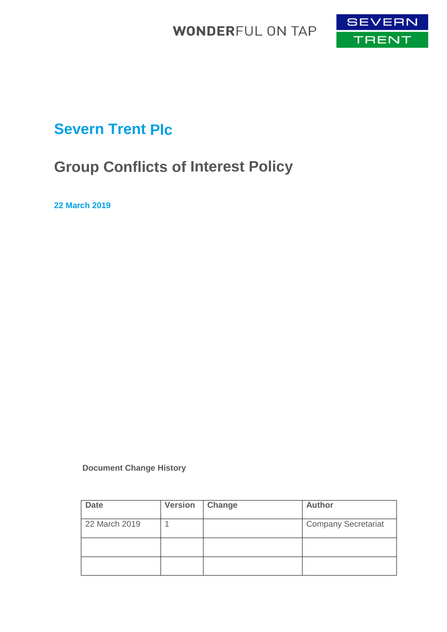

# **Severn Trent Plc**

# **Group Conflicts of Interest Policy**

**22 March 2019**

 **Document Change History**

| <b>Date</b>   | <b>Version</b> | Change | <b>Author</b>              |
|---------------|----------------|--------|----------------------------|
| 22 March 2019 |                |        | <b>Company Secretariat</b> |
|               |                |        |                            |
|               |                |        |                            |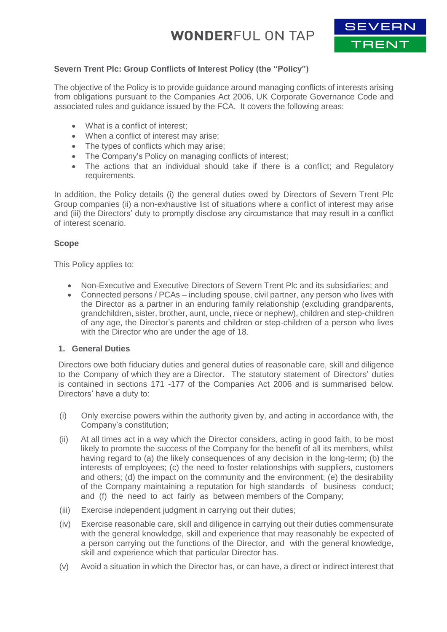

### **Severn Trent Plc: Group Conflicts of Interest Policy (the "Policy")**

The objective of the Policy is to provide guidance around managing conflicts of interests arising from obligations pursuant to the Companies Act 2006, UK Corporate Governance Code and associated rules and guidance issued by the FCA. It covers the following areas:

- What is a conflict of interest;
- When a conflict of interest may arise;
- The types of conflicts which may arise;
- The Company's Policy on managing conflicts of interest;
- The actions that an individual should take if there is a conflict; and Regulatory requirements.

In addition, the Policy details (i) the general duties owed by Directors of Severn Trent Plc Group companies (ii) a non-exhaustive list of situations where a conflict of interest may arise and (iii) the Directors' duty to promptly disclose any circumstance that may result in a conflict of interest scenario.

### **Scope**

This Policy applies to:

- Non-Executive and Executive Directors of Severn Trent Plc and its subsidiaries; and
- Connected persons / PCAs including spouse, civil partner, any person who lives with the Director as a partner in an enduring family relationship (excluding grandparents, grandchildren, sister, brother, aunt, uncle, niece or nephew), children and step-children of any age, the Director's parents and children or step-children of a person who lives with the Director who are under the age of 18.

### **1. General Duties**

Directors owe both fiduciary duties and general duties of reasonable care, skill and diligence to the Company of which they are a Director. The statutory statement of Directors' duties is contained in sections 171 -177 of the Companies Act 2006 and is summarised below. Directors' have a duty to:

- (i) Only exercise powers within the authority given by, and acting in accordance with, the Company's constitution;
- (ii) At all times act in a way which the Director considers, acting in good faith, to be most likely to promote the success of the Company for the benefit of all its members, whilst having regard to (a) the likely consequences of any decision in the long-term; (b) the interests of employees; (c) the need to foster relationships with suppliers, customers and others; (d) the impact on the community and the environment; (e) the desirability of the Company maintaining a reputation for high standards of business conduct; and (f) the need to act fairly as between members of the Company;
- (iii) Exercise independent judgment in carrying out their duties;
- (iv) Exercise reasonable care, skill and diligence in carrying out their duties commensurate with the general knowledge, skill and experience that may reasonably be expected of a person carrying out the functions of the Director, and with the general knowledge, skill and experience which that particular Director has.
- (v) Avoid a situation in which the Director has, or can have, a direct or indirect interest that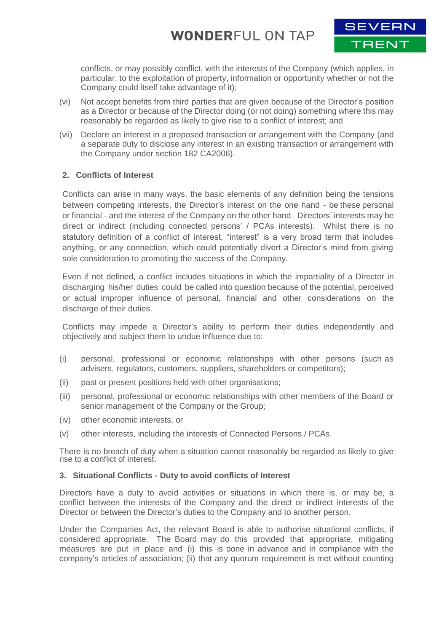

conflicts, or may possibly conflict, with the interests of the Company (which applies, in particular, to the exploitation of property, information or opportunity whether or not the Company could itself take advantage of it);

- (vi) Not accept benefits from third parties that are given because of the Director's position as a Director or because of the Director doing (or not doing) something where this may reasonably be regarded as likely to give rise to a conflict of interest; and
- (vii) Declare an interest in a proposed transaction or arrangement with the Company (and a separate duty to disclose any interest in an existing transaction or arrangement with the Company under section 182 CA2006).

### **2. Conflicts of Interest**

Conflicts can arise in many ways, the basic elements of any definition being the tensions between competing interests, the Director's interest on the one hand - be these personal or financial - and the interest of the Company on the other hand. Directors' interests may be direct or indirect (including connected persons' / PCAs interests). Whilst there is no statutory definition of a conflict of interest, "interest" is a very broad term that includes anything, or any connection, which could potentially divert a Director's mind from giving sole consideration to promoting the success of the Company.

Even if not defined, a conflict includes situations in which the impartiality of a Director in discharging his/her duties could be called into question because of the potential, perceived or actual improper influence of personal, financial and other considerations on the discharge of their duties.

Conflicts may impede a Director's ability to perform their duties independently and objectively and subject them to undue influence due to:

- (i) personal, professional or economic relationships with other persons (such as advisers, regulators, customers, suppliers, shareholders or competitors);
- (ii) past or present positions held with other organisations;
- (iii) personal, professional or economic relationships with other members of the Board or senior management of the Company or the Group;
- (iv) other economic interests; or
- (v) other interests, including the interests of Connected Persons / PCAs.

There is no breach of duty when a situation cannot reasonably be regarded as likely to give rise to a conflict of interest.

#### **3. Situational Conflicts - Duty to avoid conflicts of Interest**

Directors have a duty to avoid activities or situations in which there is, or may be, a conflict between the interests of the Company and the direct or indirect interests of the Director or between the Director's duties to the Company and to another person.

Under the Companies Act, the relevant Board is able to authorise situational conflicts, if considered appropriate. The Board may do this provided that appropriate, mitigating measures are put in place and (i) this is done in advance and in compliance with the company's articles of association; (ii) that any quorum requirement is met without counting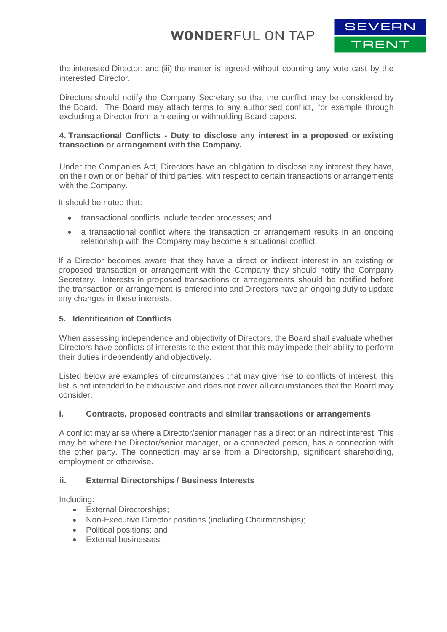

the interested Director; and (iii) the matter is agreed without counting any vote cast by the interested Director.

Directors should notify the Company Secretary so that the conflict may be considered by the Board. The Board may attach terms to any authorised conflict, for example through excluding a Director from a meeting or withholding Board papers.

### **4. Transactional Conflicts - Duty to disclose any interest in a proposed or existing transaction or arrangement with the Company.**

Under the Companies Act, Directors have an obligation to disclose any interest they have, on their own or on behalf of third parties, with respect to certain transactions or arrangements with the Company.

It should be noted that:

- transactional conflicts include tender processes; and
- a transactional conflict where the transaction or arrangement results in an ongoing relationship with the Company may become a situational conflict.

If a Director becomes aware that they have a direct or indirect interest in an existing or proposed transaction or arrangement with the Company they should notify the Company Secretary. Interests in proposed transactions or arrangements should be notified before the transaction or arrangement is entered into and Directors have an ongoing duty to update any changes in these interests.

### **5. Identification of Conflicts**

When assessing independence and objectivity of Directors, the Board shall evaluate whether Directors have conflicts of interests to the extent that this may impede their ability to perform their duties independently and objectively.

Listed below are examples of circumstances that may give rise to conflicts of interest, this list is not intended to be exhaustive and does not cover all circumstances that the Board may consider.

### **i. Contracts, proposed contracts and similar transactions or arrangements**

A conflict may arise where a Director/senior manager has a direct or an indirect interest. This may be where the Director/senior manager, or a connected person, has a connection with the other party. The connection may arise from a Directorship, significant shareholding, employment or otherwise.

### **ii. External Directorships / Business Interests**

Including:

- External Directorships;
- Non-Executive Director positions (including Chairmanships);
- Political positions: and
- **External businesses.**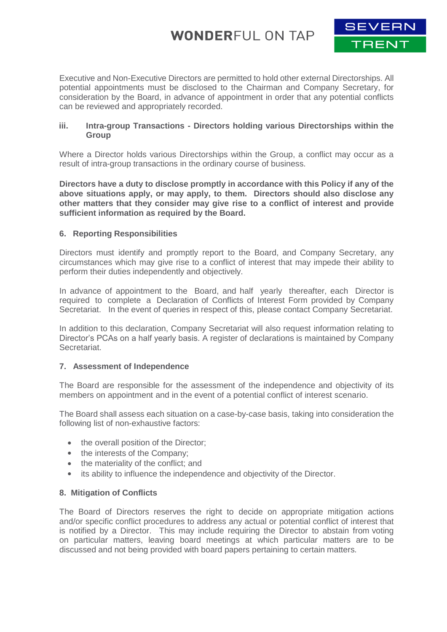

Executive and Non-Executive Directors are permitted to hold other external Directorships. All potential appointments must be disclosed to the Chairman and Company Secretary, for consideration by the Board, in advance of appointment in order that any potential conflicts can be reviewed and appropriately recorded.

#### **iii. Intra-group Transactions - Directors holding various Directorships within the Group**

Where a Director holds various Directorships within the Group, a conflict may occur as a result of intra-group transactions in the ordinary course of business.

**Directors have a duty to disclose promptly in accordance with this Policy if any of the above situations apply, or may apply, to them. Directors should also disclose any other matters that they consider may give rise to a conflict of interest and provide sufficient information as required by the Board.**

### **6. Reporting Responsibilities**

Directors must identify and promptly report to the Board, and Company Secretary, any circumstances which may give rise to a conflict of interest that may impede their ability to perform their duties independently and objectively.

In advance of appointment to the Board, and half yearly thereafter, each Director is required to complete a Declaration of Conflicts of Interest Form provided by Company Secretariat. In the event of queries in respect of this, please contact Company Secretariat.

In addition to this declaration, Company Secretariat will also request information relating to Director's PCAs on a half yearly basis. A register of declarations is maintained by Company Secretariat.

#### **7. Assessment of Independence**

The Board are responsible for the assessment of the independence and objectivity of its members on appointment and in the event of a potential conflict of interest scenario.

The Board shall assess each situation on a case-by-case basis, taking into consideration the following list of non-exhaustive factors:

- the overall position of the Director;
- the interests of the Company;
- the materiality of the conflict; and
- its ability to influence the independence and objectivity of the Director.

#### **8. Mitigation of Conflicts**

The Board of Directors reserves the right to decide on appropriate mitigation actions and/or specific conflict procedures to address any actual or potential conflict of interest that is notified by a Director. This may include requiring the Director to abstain from voting on particular matters, leaving board meetings at which particular matters are to be discussed and not being provided with board papers pertaining to certain matters.